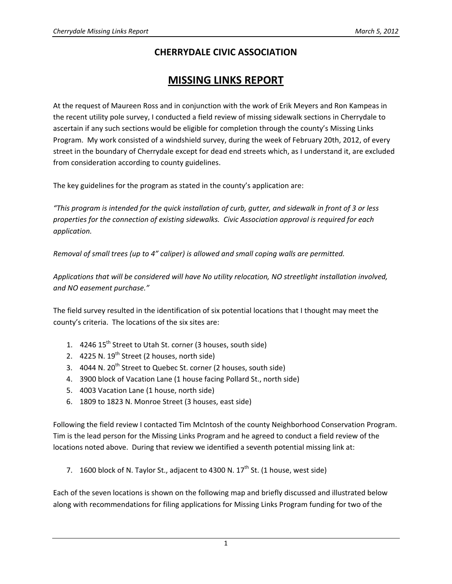## **CHERRYDALE CIVIC ASSOCIATION**

# **MISSING LINKS REPORT**

At the request of Maureen Ross and in conjunction with the work of Erik Meyers and Ron Kampeas in the recent utility pole survey, I conducted a field review of missing sidewalk sections in Cherrydale to ascertain if any such sections would be eligible for completion through the county's Missing Links Program. My work consisted of a windshield survey, during the week of February 20th, 2012, of every street in the boundary of Cherrydale except for dead end streets which, as I understand it, are excluded from consideration according to county guidelines.

The key guidelines for the program as stated in the county's application are:

"This program is intended for the quick installation of curb, gutter, and sidewalk in front of 3 or less *properties for the connection of existing sidewalks. Civic Association approval is required for each application.*

*Removal of small trees (up to 4" caliper) is allowed and small coping walls are permitted.*

*Applications that will be considered will have No utility relocation, NO streetlight installation involved, and NO easement purchase."*

The field survey resulted in the identification of six potential locations that I thought may meet the county's criteria. The locations of the six sites are:

- 1. 4246 15<sup>th</sup> Street to Utah St. corner (3 houses, south side)
- 2.  $4225$  N.  $19^{th}$  Street (2 houses, north side)
- 3. 4044 N. 20<sup>th</sup> Street to Quebec St. corner (2 houses, south side)
- 4. 3900 block of Vacation Lane (1 house facing Pollard St., north side)
- 5. 4003 Vacation Lane (1 house, north side)
- 6. 1809 to 1823 N. Monroe Street (3 houses, east side)

Following the field review I contacted Tim McIntosh of the county Neighborhood Conservation Program. Tim is the lead person for the Missing Links Program and he agreed to conduct a field review of the locations noted above. During that review we identified a seventh potential missing link at:

7. 1600 block of N. Taylor St., adjacent to 4300 N.  $17<sup>th</sup>$  St. (1 house, west side)

Each of the seven locations is shown on the following map and briefly discussed and illustrated below along with recommendations for filing applications for Missing Links Program funding for two of the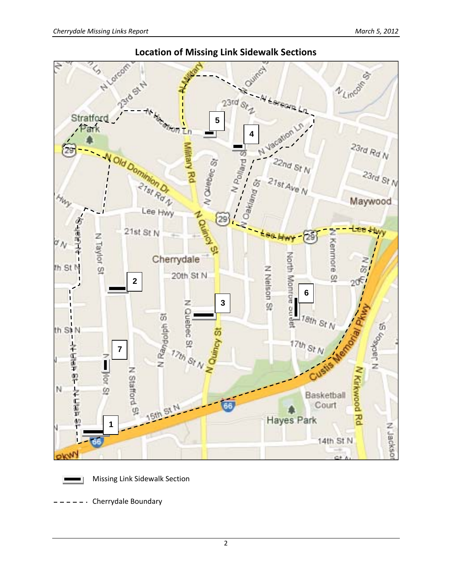

### **Location of Missing Link Sidewalk Sections**



Missing Link Sidewalk Section

 $---$  Cherrydale Boundary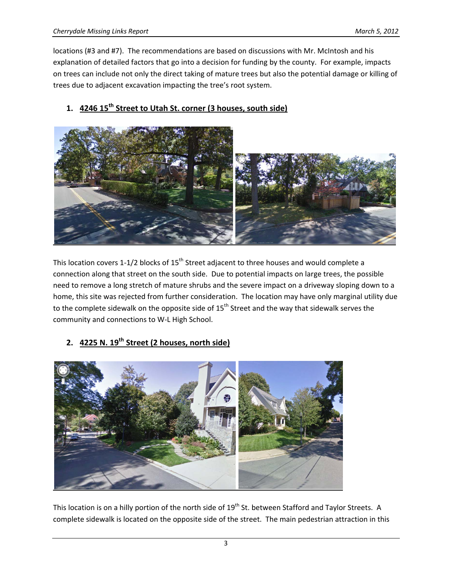locations (#3 and #7). The recommendations are based on discussions with Mr. McIntosh and his explanation of detailed factors that go into a decision for funding by the county. For example, impacts on trees can include not only the direct taking of mature trees but also the potential damage or killing of trees due to adjacent excavation impacting the tree's root system.



## **1. 4246 15th Street to Utah St. corner (3 houses, south side)**

This location covers 1-1/2 blocks of  $15<sup>th</sup>$  Street adjacent to three houses and would complete a connection along that street on the south side. Due to potential impacts on large trees, the possible need to remove a long stretch of mature shrubs and the severe impact on a driveway sloping down to a home, this site was rejected from further consideration. The location may have only marginal utility due to the complete sidewalk on the opposite side of 15<sup>th</sup> Street and the way that sidewalk serves the community and connections to W‐L High School.

## **2. 4225 N. 19th Street (2 houses, north side)**



This location is on a hilly portion of the north side of 19<sup>th</sup> St. between Stafford and Taylor Streets. A complete sidewalk is located on the opposite side of the street. The main pedestrian attraction in this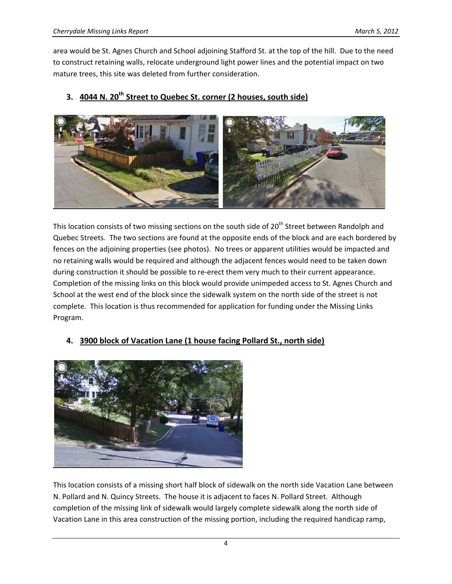area would be St. Agnes Church and School adjoining Stafford St. at the top of the hill. Due to the need to construct retaining walls, relocate underground light power lines and the potential impact on two mature trees, this site was deleted from further consideration.



#### **3. 4044 N. 20th Street to Quebec St. corner (2 houses, south side)**

This location consists of two missing sections on the south side of 20<sup>th</sup> Street between Randolph and Quebec Streets. The two sections are found at the opposite ends of the block and are each bordered by fences on the adjoining properties (see photos). No trees or apparent utilities would be impacted and no retaining walls would be required and although the adjacent fences would need to be taken down during construction it should be possible to re-erect them very much to their current appearance. Completion of the missing links on this block would provide unimpeded access to St. Agnes Church and School at the west end of the block since the sidewalk system on the north side of the street is not complete. This location is thus recommended for application for funding under the Missing Links Program.



#### **4. 3900 block of Vacation Lane (1 house facing Pollard St., north side)**

This location consists of a missing short half block of sidewalk on the north side Vacation Lane between N. Pollard and N. Quincy Streets. The house it is adjacent to faces N. Pollard Street. Although completion of the missing link of sidewalk would largely complete sidewalk along the north side of Vacation Lane in this area construction of the missing portion, including the required handicap ramp,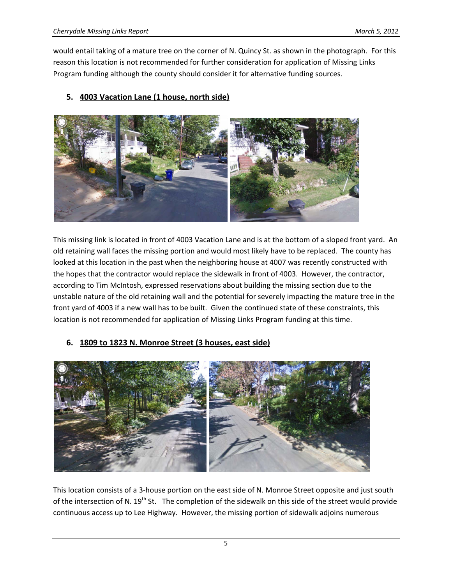would entail taking of a mature tree on the corner of N. Quincy St. as shown in the photograph. For this reason this location is not recommended for further consideration for application of Missing Links Program funding although the county should consider it for alternative funding sources.

#### **5. 4003 Vacation Lane (1 house, north side)**



This missing link is located in front of 4003 Vacation Lane and is at the bottom of a sloped front yard. An old retaining wall faces the missing portion and would most likely have to be replaced. The county has looked at this location in the past when the neighboring house at 4007 was recently constructed with the hopes that the contractor would replace the sidewalk in front of 4003. However, the contractor, according to Tim McIntosh, expressed reservations about building the missing section due to the unstable nature of the old retaining wall and the potential for severely impacting the mature tree in the front yard of 4003 if a new wall has to be built. Given the continued state of these constraints, this location is not recommended for application of Missing Links Program funding at this time.

#### **6. 1809 to 1823 N. Monroe Street (3 houses, east side)**



This location consists of a 3‐house portion on the east side of N. Monroe Street opposite and just south of the intersection of N.  $19^{th}$  St. The completion of the sidewalk on this side of the street would provide continuous access up to Lee Highway. However, the missing portion of sidewalk adjoins numerous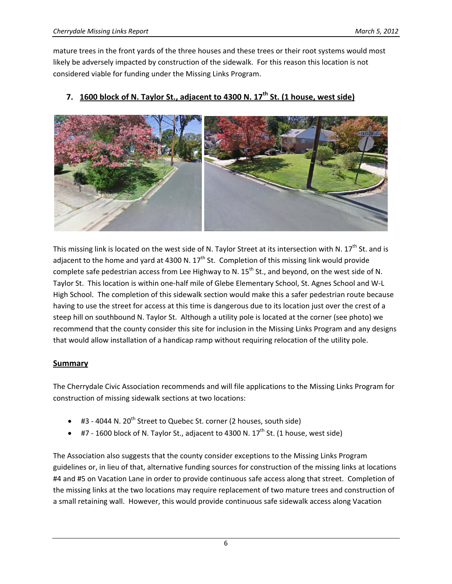mature trees in the front yards of the three houses and these trees or their root systems would most likely be adversely impacted by construction of the sidewalk. For this reason this location is not considered viable for funding under the Missing Links Program.



#### **7. 1600 block of N. Taylor St., adjacent to 4300 N. 17th St. (1 house, west side)**

This missing link is located on the west side of N. Taylor Street at its intersection with N. 17<sup>th</sup> St. and is adjacent to the home and yard at 4300 N.  $17<sup>th</sup>$  St. Completion of this missing link would provide complete safe pedestrian access from Lee Highway to N.  $15<sup>th</sup>$  St., and beyond, on the west side of N. Taylor St. This location is within one‐half mile of Glebe Elementary School, St. Agnes School and W‐L High School. The completion of this sidewalk section would make this a safer pedestrian route because having to use the street for access at this time is dangerous due to its location just over the crest of a steep hill on southbound N. Taylor St. Although a utility pole is located at the corner (see photo) we recommend that the county consider this site for inclusion in the Missing Links Program and any designs that would allow installation of a handicap ramp without requiring relocation of the utility pole.

#### **Summary**

The Cherrydale Civic Association recommends and will file applications to the Missing Links Program for construction of missing sidewalk sections at two locations:

- #3 4044 N. 20<sup>th</sup> Street to Quebec St. corner (2 houses, south side)
- $\bullet$  #7 1600 block of N. Taylor St., adjacent to 4300 N. 17<sup>th</sup> St. (1 house, west side)

The Association also suggests that the county consider exceptions to the Missing Links Program guidelines or, in lieu of that, alternative funding sources for construction of the missing links at locations #4 and #5 on Vacation Lane in order to provide continuous safe access along that street. Completion of the missing links at the two locations may require replacement of two mature trees and construction of a small retaining wall. However, this would provide continuous safe sidewalk access along Vacation